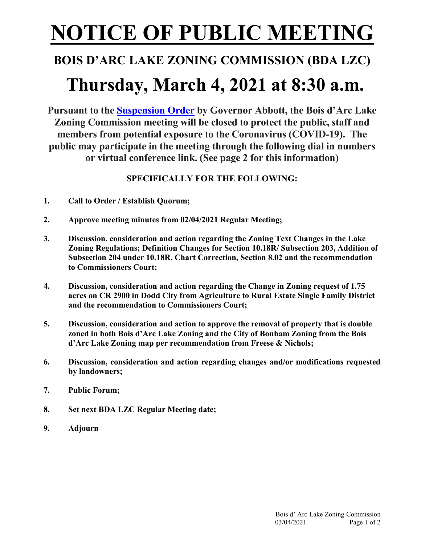# **NOTICE OF PUBLIC MEETING**

### **BOIS D'ARC LAKE ZONING COMMISSION (BDA LZC)**

## **Thursday, March 4, 2021 at 8:30 a.m.**

**Pursuant to the [Suspension Order](https://www.texasattorneygeneral.gov/sites/default/files/files/divisions/open-government/COVID-19-OMA-Suspension-Letter.pdf) by Governor Abbott, the Bois d'Arc Lake Zoning Commission meeting will be closed to protect the public, staff and members from potential exposure to the Coronavirus (COVID-19). The public may participate in the meeting through the following dial in numbers or virtual conference link. (See page 2 for this information)**

### **SPECIFICALLY FOR THE FOLLOWING:**

- **1. Call to Order / Establish Quorum;**
- **2. Approve meeting minutes from 02/04/2021 Regular Meeting;**
- **3. Discussion, consideration and action regarding the Zoning Text Changes in the Lake Zoning Regulations; Definition Changes for Section 10.18R/ Subsection 203, Addition of Subsection 204 under 10.18R, Chart Correction, Section 8.02 and the recommendation to Commissioners Court;**
- **4. Discussion, consideration and action regarding the Change in Zoning request of 1.75 acres on CR 2900 in Dodd City from Agriculture to Rural Estate Single Family District and the recommendation to Commissioners Court;**
- **5. Discussion, consideration and action to approve the removal of property that is double zoned in both Bois d'Arc Lake Zoning and the City of Bonham Zoning from the Bois d'Arc Lake Zoning map per recommendation from Freese & Nichols;**
- **6. Discussion, consideration and action regarding changes and/or modifications requested by landowners;**
- **7. Public Forum;**
- **8. Set next BDA LZC Regular Meeting date;**
- **9. Adjourn**